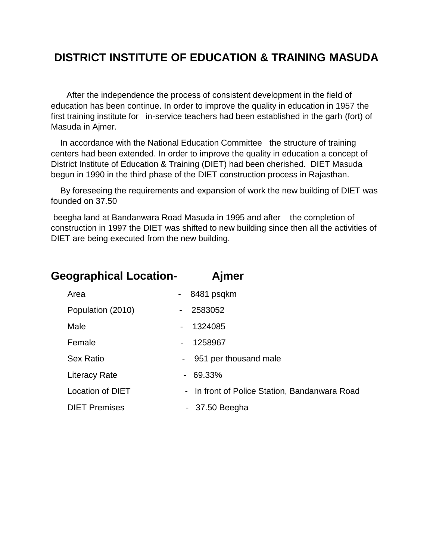## **DISTRICT INSTITUTE OF EDUCATION & TRAINING MASUDA**

After the independence the process of consistent development in the field of education has been continue. In order to improve the quality in education in 1957 the first training institute for in-service teachers had been established in the garh (fort) of Masuda in Ajmer.

 In accordance with the National Education Committee the structure of training centers had been extended. In order to improve the quality in education a concept of District Institute of Education & Training (DIET) had been cherished. DIET Masuda begun in 1990 in the third phase of the DIET construction process in Rajasthan.

 By foreseeing the requirements and expansion of work the new building of DIET was founded on 37.50

beegha land at Bandanwara Road Masuda in 1995 and after the completion of construction in 1997 the DIET was shifted to new building since then all the activities of DIET are being executed from the new building.

| <b>Geographical Location-</b> |                              | Ajmer                                         |
|-------------------------------|------------------------------|-----------------------------------------------|
| Area                          |                              | 8481 psqkm                                    |
| Population (2010)             | $\overline{\phantom{a}}$     | 2583052                                       |
| Male                          | $\overline{\phantom{a}}$     | 1324085                                       |
| Female                        | $\qquad \qquad \blacksquare$ | 1258967                                       |
| <b>Sex Ratio</b>              | $\blacksquare$               | 951 per thousand male                         |
| Literacy Rate                 | ۰.                           | 69.33%                                        |
| <b>Location of DIET</b>       |                              | - In front of Police Station, Bandanwara Road |
| <b>DIET Premises</b>          |                              | $-37.50$ Beegha                               |